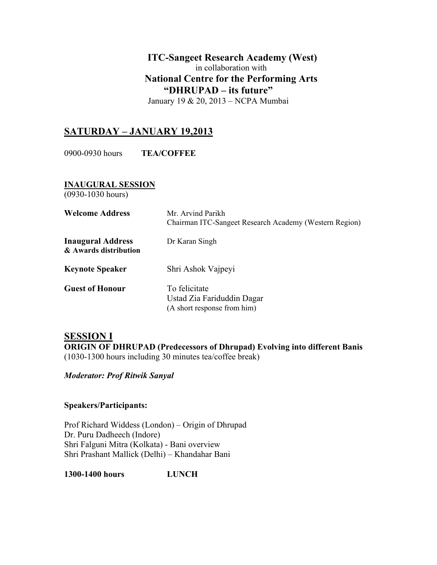## **ITC-Sangeet Research Academy (West)** in collaboration with **National Centre for the Performing Arts "DHRUPAD – its future"**

January 19 & 20, 2013 – NCPA Mumbai

# **SATURDAY – JANUARY 19,2013**

0900-0930 hours **TEA/COFFEE**

**INAUGURAL SESSION** 

(0930-1030 hours)

| <b>Welcome Address</b>                            | Mr. Arvind Parikh<br>Chairman ITC-Sangeet Research Academy (Western Region) |
|---------------------------------------------------|-----------------------------------------------------------------------------|
| <b>Inaugural Address</b><br>& Awards distribution | Dr Karan Singh                                                              |
| <b>Keynote Speaker</b>                            | Shri Ashok Vajpeyi                                                          |
| <b>Guest of Honour</b>                            | To felicitate<br>Ustad Zia Fariduddin Dagar<br>(A short response from him)  |

## **SESSION I ORIGIN OF DHRUPAD (Predecessors of Dhrupad) Evolving into different Banis**  (1030-1300 hours including 30 minutes tea/coffee break)

*Moderator: Prof Ritwik Sanyal* 

### **Speakers/Participants:**

Prof Richard Widdess (London) – Origin of Dhrupad Dr. Puru Dadheech (Indore) Shri Falguni Mitra (Kolkata) - Bani overview Shri Prashant Mallick (Delhi) – Khandahar Bani

**1300-1400 hours LUNCH**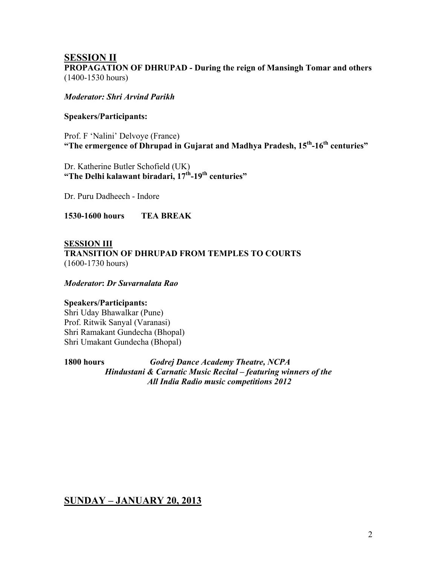## **SESSION II PROPAGATION OF DHRUPAD - During the reign of Mansingh Tomar and others**  (1400-1530 hours)

*Moderator: Shri Arvind Parikh* 

#### **Speakers/Participants:**

Prof. F 'Nalini' Delvoye (France) **"The ermergence of Dhrupad in Gujarat and Madhya Pradesh, 15th-16th centuries"**

Dr. Katherine Butler Schofield (UK) **"The Delhi kalawant biradari, 17th-19th centuries"** 

Dr. Puru Dadheech - Indore

**1530-1600 hours TEA BREAK** 

**SESSION III TRANSITION OF DHRUPAD FROM TEMPLES TO COURTS**  (1600-1730 hours)

*Moderator***:** *Dr Suvarnalata Rao*

#### **Speakers/Participants:**

Shri Uday Bhawalkar (Pune) Prof. Ritwik Sanyal (Varanasi) Shri Ramakant Gundecha (Bhopal) Shri Umakant Gundecha (Bhopal)

**1800 hours** *Godrej Dance Academy Theatre, NCPA Hindustani & Carnatic Music Recital – featuring winners of the All India Radio music competitions 2012* 

**SUNDAY – JANUARY 20, 2013**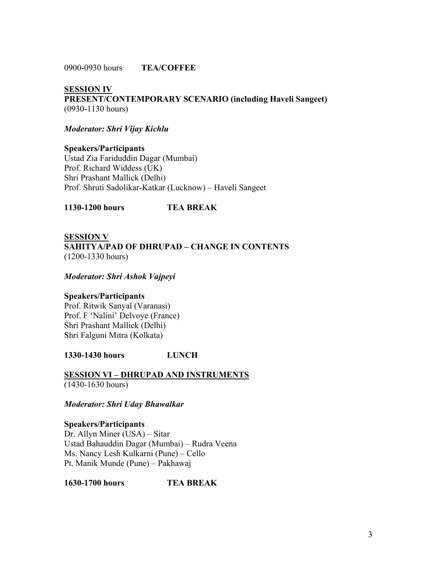0900-0930 hours **TEA/COFFEE**

**SESSION IV PRESENT/CONTEMPORARY SCENARIO (including Haveli Sangeet)**  (0930-1130 hours)

*Moderator: Shri Vijay Kichlu* 

**Speakers/Participants**  Ustad Zia Fariduddin Dagar (Mumbai) Prof. Richard Widdess (UK) Shri Prashant Mallick (Delhi) Prof. Shruti Sadolikar-Katkar (Lucknow) – Haveli Sangeet

**1130-1200 hours TEA BREAK** 

### **SESSION V**

**SAHITYA/PAD OF DHRUPAD – CHANGE IN CONTENTS**  (1200-1330 hours)

*Moderator: Shri Ashok Vajpeyi* 

#### **Speakers/Participants**

Prof. Ritwik Sanyal (Varanasi) Prof. F 'Nalini' Delvoye (France) Shri Prashant Mallick (Delhi) Shri Falguni Mitra (Kolkata)

**1330-1430 hours LUNCH** 

**SESSION VI – DHRUPAD AND INSTRUMENTS** (1430-1630 hours)

*Moderator: Shri Uday Bhawalkar* 

**Speakers/Participants**  Dr. Allyn Miner (USA) – Sitar Ustad Bahauddin Dagar (Mumbai) – Rudra Veena Ms. Nancy Lesh Kulkarni (Pune) – Cello Pt. Manik Munde (Pune) – Pakhawaj

**1630-1700 hours TEA BREAK**